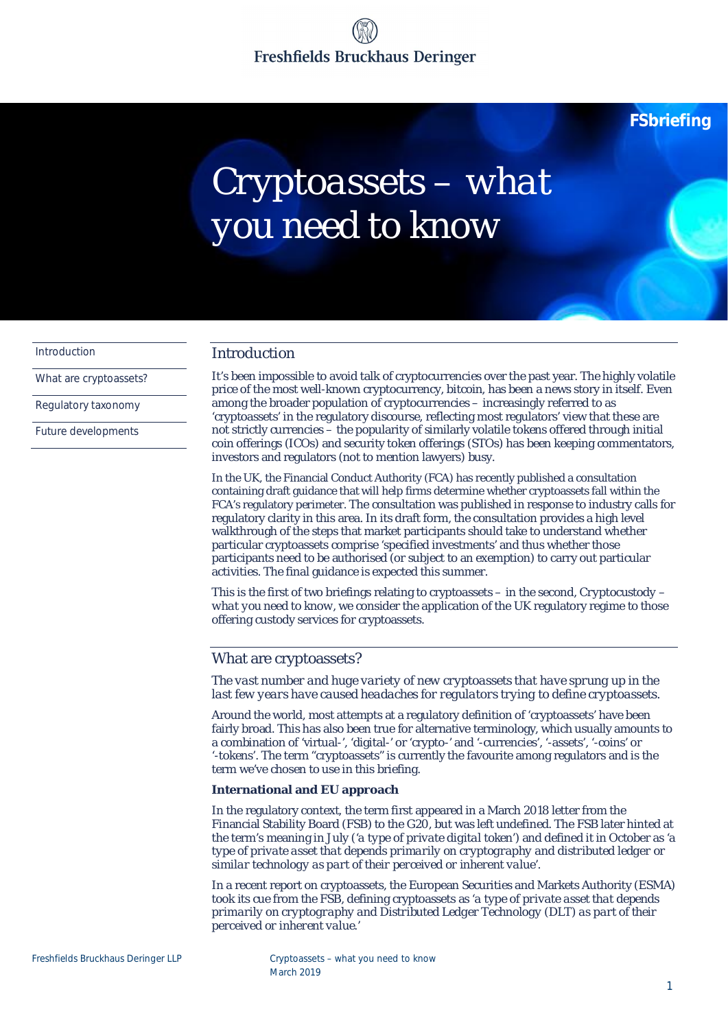# Freshfields Bruckhaus Deringer

**FSbriefing**

# *Cryptoassets – what you need to know*

Introduction

What are cryptoassets?

Regulatory taxonomy

Future developments

### Introduction

It's been impossible to avoid talk of cryptocurrencies over the past year. The highly volatile price of the most well-known cryptocurrency, bitcoin, has been a news story in itself. Even among the broader population of cryptocurrencies – increasingly referred to as 'cryptoassets' in the regulatory discourse, reflecting most regulators' view that these are not strictly currencies – the popularity of similarly volatile tokens offered through initial coin offerings (ICOs) and security token offerings (STOs) has been keeping commentators, investors and regulators (not to mention lawyers) busy.

In the UK, the Financial Conduct Authority (FCA) has recently published a consultation containing draft guidance that will help firms determine whether cryptoassets fall within the FCA's regulatory perimeter. The consultation was published in response to industry calls for regulatory clarity in this area. In its draft form, the consultation provides a high level walkthrough of the steps that market participants should take to understand whether particular cryptoassets comprise 'specified investments' and thus whether those participants need to be authorised (or subject to an exemption) to carry out particular activities. The final guidance is expected this summer.

This is the first of two briefings relating to cryptoassets – in the second, *Cryptocustody – what you need to know,* we consider the application of the UK regulatory regime to those offering custody services for cryptoassets.

### What are cryptoassets?

*The vast number and huge variety of new cryptoassets that have sprung up in the last few years have caused headaches for regulators trying to define cryptoassets.*

Around the world, most attempts at a regulatory definition of 'cryptoassets' have been fairly broad. This has also been true for alternative terminology, which usually amounts to a combination of 'virtual-', 'digital-' or 'crypto-' and '-currencies', '-assets', '-coins' or '-tokens'. The term "cryptoassets" is currently the favourite among regulators and is the term we've chosen to use in this briefing.

**International and EU approach**

In the regulatory context, the term first appeared in a March 2018 letter from the Financial Stability Board (FSB) to the G20, but was left undefined. The FSB later hinted at the term's meaning in July ('*a type of private digital token*') and defined it in October as '*a type of private asset that depends primarily on cryptography and distributed ledger or similar technology as part of their perceived or inherent value*'.

In a recent report on cryptoassets, the European Securities and Markets Authority (ESMA) took its cue from the FSB, defining cryptoassets as '*a type of private asset that depends primarily on cryptography and Distributed Ledger Technology (DLT) as part of their perceived or inherent value.'*

Freshfields Bruckhaus Deringer LLP Cryptoassets – what you need to know March 2019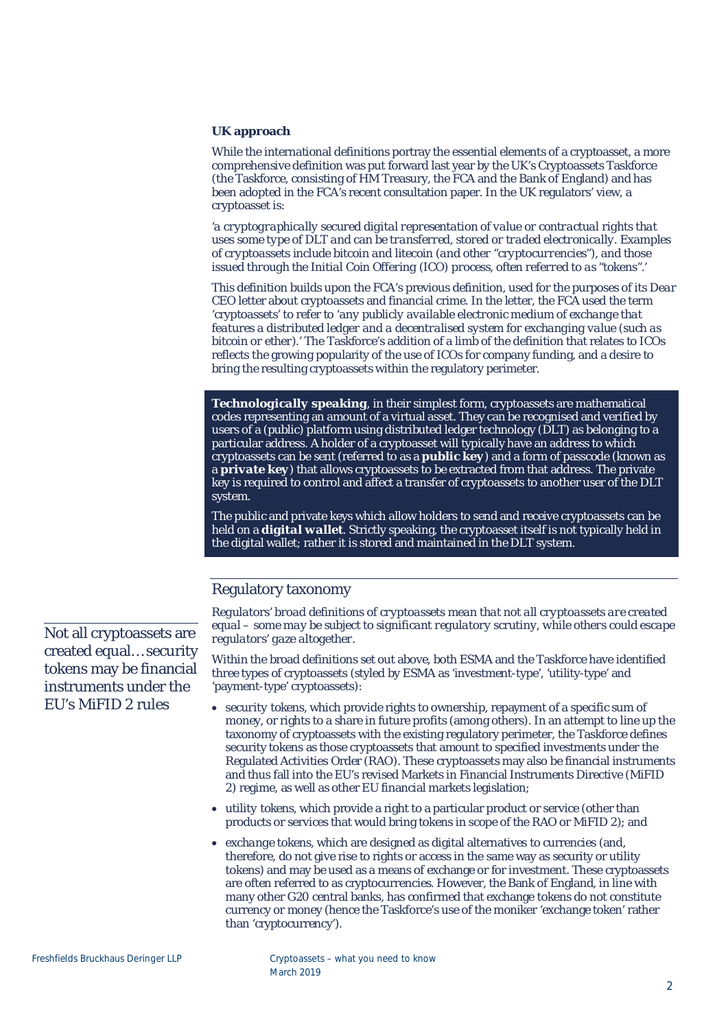**UK approach**

While the international definitions portray the essential elements of a cryptoasset, a more comprehensive definition was put forward last year by the UK's Cryptoassets Taskforce (the Taskforce, consisting of HM Treasury, the FCA and the Bank of England) and has been adopted in the FCA's recent consultation paper. In the UK regulators' view, a cryptoasset is:

*'a cryptographically secured digital representation of value or contractual rights that uses some type of DLT and can be transferred, stored or traded electronically. Examples of cryptoassets include bitcoin and litecoin (and other "cryptocurrencies"), and those issued through the Initial Coin Offering (ICO) process, often referred to as "tokens".'*

This definition builds upon the FCA's previous definition, used for the purposes of its *Dear CEO* letter about cryptoassets and financial crime. In the letter, the FCA used the term 'cryptoassets' to refer to '*any publicly available electronic medium of exchange that features a distributed ledger and a decentralised system for exchanging value (such as bitcoin or ether).*' The Taskforce's addition of a limb of the definition that relates to ICOs reflects the growing popularity of the use of ICOs for company funding, and a desire to bring the resulting cryptoassets within the regulatory perimeter.

*Technologically speaking*, in their simplest form, cryptoassets are mathematical codes representing an amount of a virtual asset. They can be recognised and verified by users of a (public) platform using distributed ledger technology (DLT) as belonging to a particular address. A holder of a cryptoasset will typically have an address to which cryptoassets can be sent (referred to as a *public key*) and a form of passcode (known as a *private key*) that allows cryptoassets to be extracted from that address. The private key is required to control and affect a transfer of cryptoassets to another user of the DLT system.

The public and private keys which allow holders to send and receive cryptoassets can be held on a *digital wallet*. Strictly speaking, the cryptoasset itself is not typically held *in* the digital wallet; rather it is stored and maintained in the DLT system.

### Regulatory taxonomy

*Regulators' broad definitions of cryptoassets mean that not all cryptoassets are created equal – some may be subject to significant regulatory scrutiny, while others could escape regulators' gaze altogether.*

Within the broad definitions set out above, both ESMA and the Taskforce have identified three types of cryptoassets (styled by ESMA as 'investment-type', 'utility-type' and 'payment-type' cryptoassets):

- · *security tokens*, which provide rights to ownership, repayment of a specific sum of money, or rights to a share in future profits (among others). In an attempt to line up the taxonomy of cryptoassets with the existing regulatory perimeter, the Taskforce defines security tokens as those cryptoassets that amount to specified investments under the Regulated Activities Order (RAO). These cryptoassets may also be financial instruments and thus fall into the EU's revised Markets in Financial Instruments Directive (MiFID 2) regime, as well as other EU financial markets legislation;
- · *utility tokens*, which provide a right to a particular product or service (other than products or services that would bring tokens in scope of the RAO or MiFID 2); and
- · *exchange tokens*, which are designed as digital alternatives to currencies (and, therefore, do not give rise to rights or access in the same way as security or utility tokens) and may be used as a means of exchange or for investment. These cryptoassets are often referred to as cryptocurrencies. However, the Bank of England, in line with many other G20 central banks, has confirmed that exchange tokens do not constitute currency or money (hence the Taskforce's use of the moniker 'exchange token' rather than 'cryptocurrency').

Not all cryptoassets are created equal… security tokens may be financial instruments under the EU's MiFID 2 rules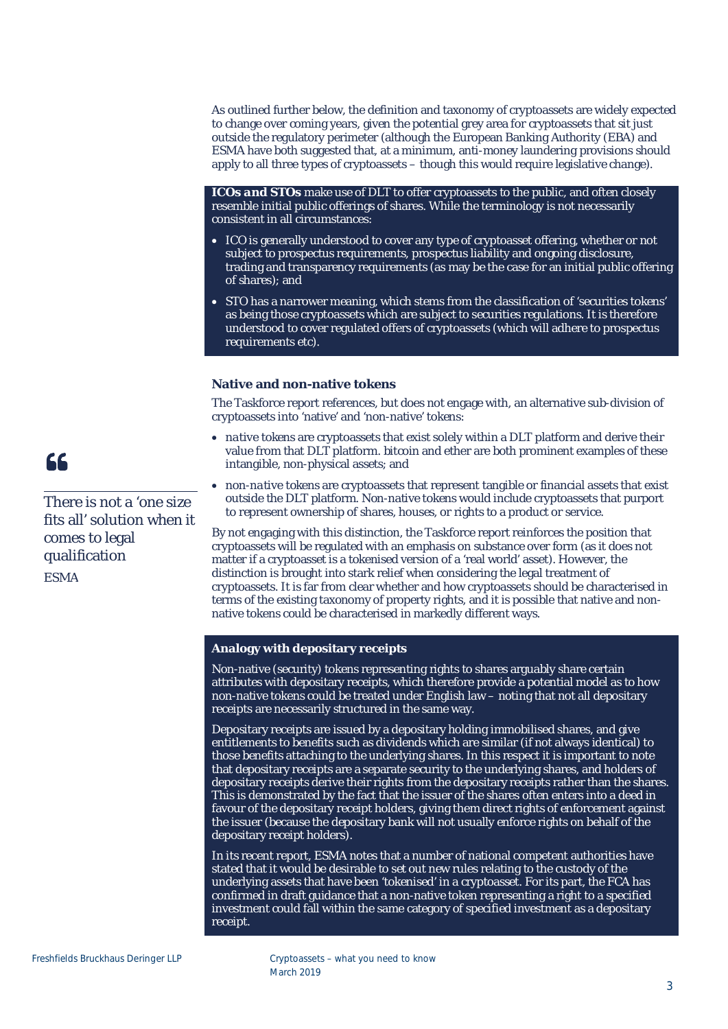As outlined further below, the definition and taxonomy of cryptoassets are widely expected to change over coming years, given the potential grey area for cryptoassets that sit just outside the regulatory perimeter (although the European Banking Authority (EBA) and ESMA have both suggested that, at a minimum, anti-money laundering provisions should apply to all three types of cryptoassets – though this would require legislative change).

*ICOs and STOs* make use of DLT to offer cryptoassets to the public, and often closely resemble initial public offerings of shares. While the terminology is not necessarily consistent in all circumstances:

- · *ICO* is generally understood to cover any type of cryptoasset offering, whether or not subject to prospectus requirements, prospectus liability and ongoing disclosure, trading and transparency requirements (as may be the case for an initial public offering of shares); and
- · *STO* has a narrower meaning, which stems from the classification of 'securities tokens' as being those cryptoassets which are subject to securities regulations. It is therefore understood to cover regulated offers of cryptoassets (which will adhere to prospectus requirements etc).

### **Native and non-native tokens**

The Taskforce report references, but does not engage with, an alternative sub-division of cryptoassets into 'native' and 'non-native' tokens:

- · *native tokens* are cryptoassets that exist solely within a DLT platform and derive their value from that DLT platform. bitcoin and ether are both prominent examples of these intangible, non-physical assets; and
- · *non-native tokens* are cryptoassets that represent tangible or financial assets that exist outside the DLT platform. Non-native tokens would include cryptoassets that purport to represent ownership of shares, houses, or rights to a product or service.

By not engaging with this distinction, the Taskforce report reinforces the position that cryptoassets will be regulated with an emphasis on substance over form (as it does not matter if a cryptoasset is a tokenised version of a 'real world' asset). However, the distinction is brought into stark relief when considering the legal treatment of cryptoassets. It is far from clear whether and how cryptoassets should be characterised in terms of the existing taxonomy of property rights, and it is possible that native and nonnative tokens could be characterised in markedly different ways.

### **Analogy with depositary receipts**

Non-native (security) tokens representing rights to shares arguably share certain attributes with depositary receipts, which therefore provide a potential model as to how non-native tokens could be treated under English law – noting that not all depositary receipts are necessarily structured in the same way.

Depositary receipts are issued by a depositary holding immobilised shares, and give entitlements to benefits such as dividends which are similar (if not always identical) to those benefits attaching to the underlying shares. In this respect it is important to note that depositary receipts are a separate security to the underlying shares, and holders of depositary receipts derive their rights from the depositary receipts rather than the shares. This is demonstrated by the fact that the issuer of the shares often enters into a deed in favour of the depositary receipt holders, giving them direct rights of enforcement against the issuer (because the depositary bank will not usually enforce rights on behalf of the depositary receipt holders).

In its recent report, ESMA notes that a number of national competent authorities have stated that it would be desirable to set out new rules relating to the custody of the underlying assets that have been 'tokenised' in a cryptoasset. For its part, the FCA has confirmed in draft guidance that a non-native token representing a right to a specified investment could fall within the same category of specified investment as a depositary receipt.

## 66

There is not a 'one size fits all' solution when it comes to legal qualification *ESMA*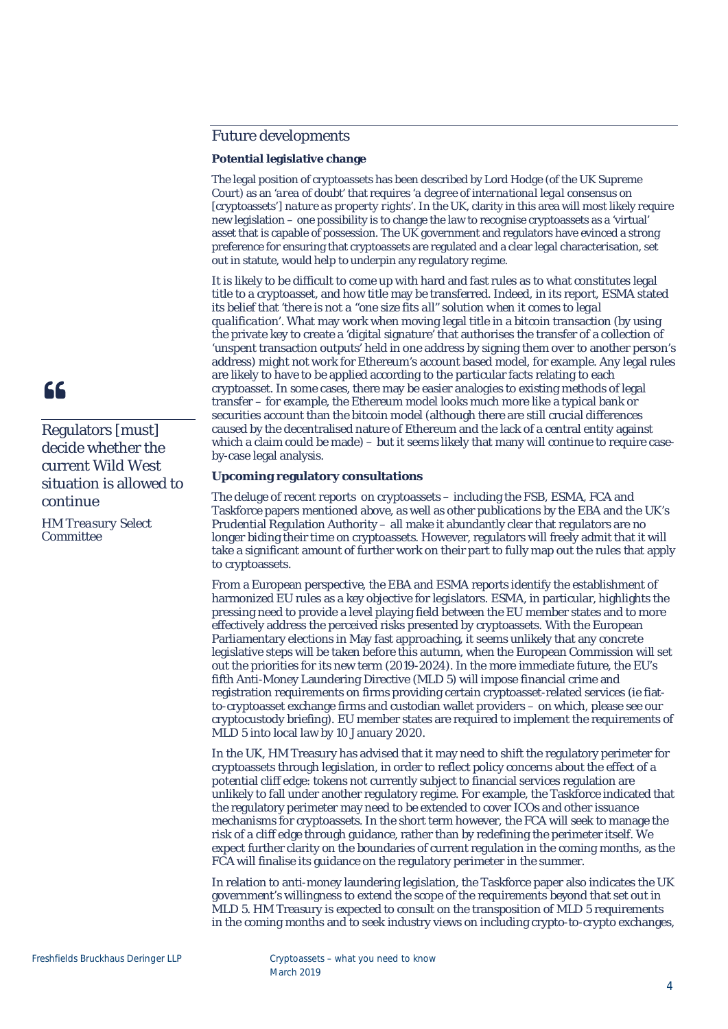### Future developments

### **Potential legislative change**

The legal position of cryptoassets has been described by Lord Hodge (of the UK Supreme Court) as an '*area of doubt*' that requires '*a degree of international legal consensus on* [cryptoassets'] *nature as property rights*'. In the UK, clarity in this area will most likely require new legislation – one possibility is to change the law to recognise cryptoassets as a 'virtual' asset that is capable of possession. The UK government and regulators have evinced a strong preference for ensuring that cryptoassets are regulated and a clear legal characterisation, set out in statute, would help to underpin any regulatory regime.

It is likely to be difficult to come up with hard and fast rules as to what constitutes legal title to a cryptoasset, and how title may be transferred. Indeed, in its report, ESMA stated its belief that '*there is not a "one size fits all" solution when it comes to legal qualification*'. What may work when moving legal title in a bitcoin transaction (by using the private key to create a 'digital signature' that authorises the transfer of a collection of 'unspent transaction outputs' held in one address by signing them over to another person's address) might not work for Ethereum's account based model, for example. Any legal rules are likely to have to be applied according to the particular facts relating to each cryptoasset. In some cases, there may be easier analogies to existing methods of legal transfer – for example, the Ethereum model looks much more like a typical bank or securities account than the bitcoin model (although there are still crucial differences caused by the decentralised nature of Ethereum and the lack of a central entity against which a claim could be made) – but it seems likely that many will continue to require caseby-case legal analysis.

### **Upcoming regulatory consultations**

The deluge of recent reports on cryptoassets – including the FSB, ESMA, FCA and Taskforce papers mentioned above, as well as other publications by the EBA and the UK's Prudential Regulation Authority – all make it abundantly clear that regulators are no longer biding their time on cryptoassets. However, regulators will freely admit that it will take a significant amount of further work on their part to fully map out the rules that apply to cryptoassets.

From a European perspective, the EBA and ESMA reports identify the establishment of harmonized EU rules as a key objective for legislators. ESMA, in particular, highlights the pressing need to provide a level playing field between the EU member states and to more effectively address the perceived risks presented by cryptoassets. With the European Parliamentary elections in May fast approaching, it seems unlikely that any concrete legislative steps will be taken before this autumn, when the European Commission will set out the priorities for its new term (2019-2024). In the more immediate future, the EU's fifth Anti-Money Laundering Directive (MLD 5) will impose financial crime and registration requirements on firms providing certain cryptoasset-related services (ie fiatto-cryptoasset exchange firms and custodian wallet providers – on which, please see our cryptocustody briefing). EU member states are required to implement the requirements of MLD 5 into local law by 10 January 2020.

In the UK, HM Treasury has advised that it may need to shift the regulatory perimeter for cryptoassets through legislation, in order to reflect policy concerns about the effect of a potential cliff edge: tokens not currently subject to financial services regulation are unlikely to fall under another regulatory regime. For example, the Taskforce indicated that the regulatory perimeter may need to be extended to cover ICOs and other issuance mechanisms for cryptoassets. In the short term however, the FCA will seek to manage the risk of a cliff edge through guidance, rather than by redefining the perimeter itself. We expect further clarity on the boundaries of current regulation in the coming months, as the FCA will finalise its guidance on the regulatory perimeter in the summer.

In relation to anti-money laundering legislation, the Taskforce paper also indicates the UK government's willingness to extend the scope of the requirements beyond that set out in MLD 5. HM Treasury is expected to consult on the transposition of MLD 5 requirements in the coming months and to seek industry views on including crypto-to-crypto exchanges,



### Regulators [must] decide whether the current Wild West situation is allowed to continue

*HM Treasury Select Committee*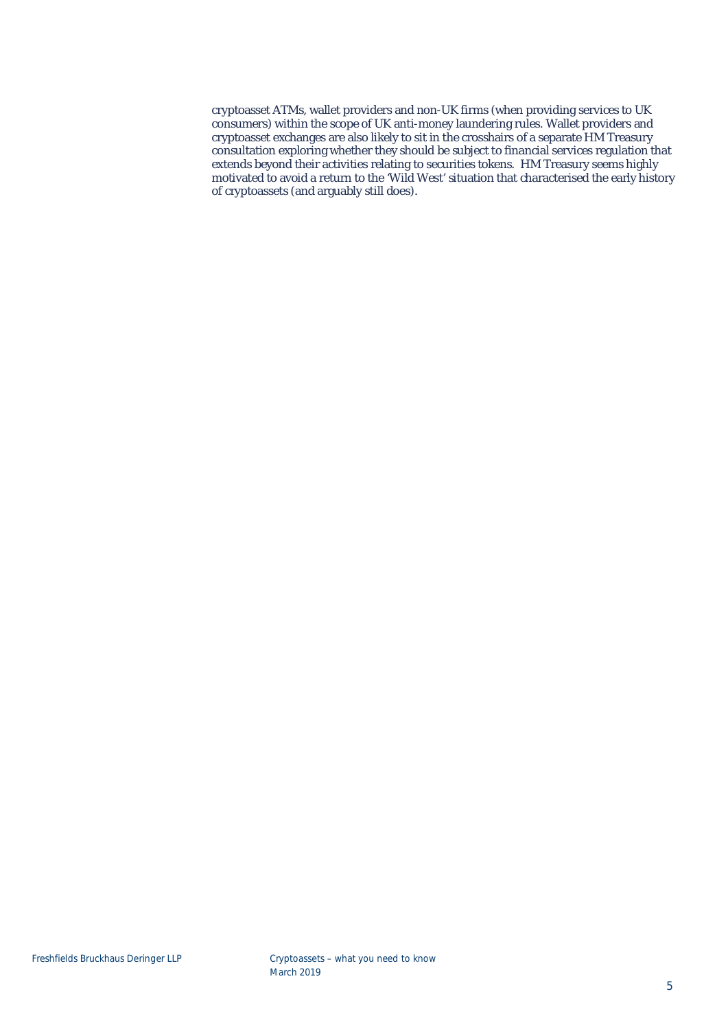cryptoasset ATMs, wallet providers and non-UK firms (when providing services to UK consumers) within the scope of UK anti-money laundering rules. Wallet providers and cryptoasset exchanges are also likely to sit in the crosshairs of a separate HM Treasury consultation exploring whether they should be subject to financial services regulation that extends beyond their activities relating to securities tokens. HM Treasury seems highly motivated to avoid a return to the 'Wild West' situation that characterised the early history of cryptoassets (and arguably still does).